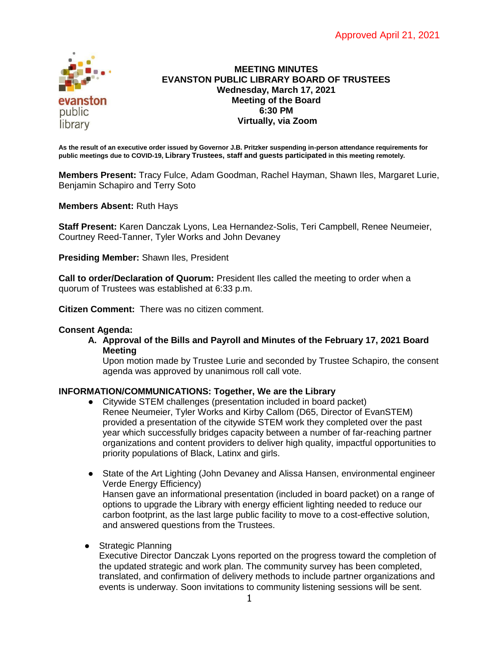

# **MEETING MINUTES EVANSTON PUBLIC LIBRARY BOARD OF TRUSTEES Wednesday, March 17, 2021 Meeting of the Board 6:30 PM Virtually, via Zoom**

**As the result of an executive order issued by Governor J.B. Pritzker suspending in-person attendance requirements for public meetings due to COVID-19, Library Trustees, staff and guests participated in this meeting remotely.**

**Members Present:** Tracy Fulce, Adam Goodman, Rachel Hayman, Shawn Iles, Margaret Lurie, Benjamin Schapiro and Terry Soto

**Members Absent:** Ruth Hays

**Staff Present:** Karen Danczak Lyons, Lea Hernandez-Solis, Teri Campbell, Renee Neumeier, Courtney Reed-Tanner, Tyler Works and John Devaney

**Presiding Member:** Shawn Iles, President

**Call to order/Declaration of Quorum:** President Iles called the meeting to order when a quorum of Trustees was established at 6:33 p.m.

**Citizen Comment:** There was no citizen comment.

### **Consent Agenda:**

**A. Approval of the Bills and Payroll and Minutes of the February 17, 2021 Board Meeting**

Upon motion made by Trustee Lurie and seconded by Trustee Schapiro, the consent agenda was approved by unanimous roll call vote.

# **INFORMATION/COMMUNICATIONS: Together, We are the Library**

- Citywide STEM challenges (presentation included in board packet) Renee Neumeier, Tyler Works and Kirby Callom (D65, Director of EvanSTEM) provided a presentation of the citywide STEM work they completed over the past year which successfully bridges capacity between a number of far-reaching partner organizations and content providers to deliver high quality, impactful opportunities to priority populations of Black, Latinx and girls.
- State of the Art Lighting (John Devaney and Alissa Hansen, environmental engineer Verde Energy Efficiency) Hansen gave an informational presentation (included in board packet) on a range of options to upgrade the Library with energy efficient lighting needed to reduce our carbon footprint, as the last large public facility to move to a cost-effective solution, and answered questions from the Trustees.
- Strategic Planning

Executive Director Danczak Lyons reported on the progress toward the completion of the updated strategic and work plan. The community survey has been completed, translated, and confirmation of delivery methods to include partner organizations and events is underway. Soon invitations to community listening sessions will be sent.